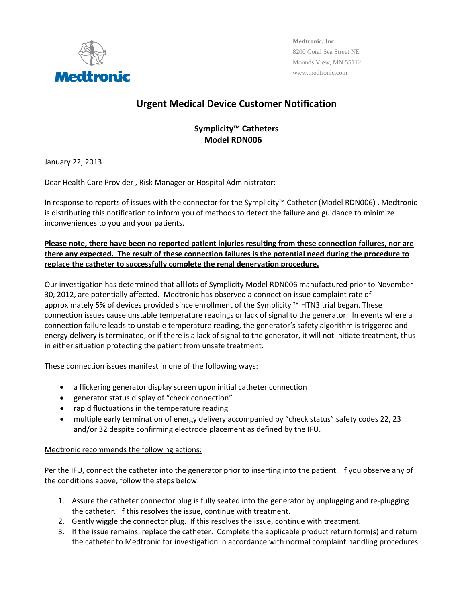

**Medtronic, Inc.**  8200 Coral Sea Street NE Mounds View, MN 55112 www.medtronic.com

## **Urgent Medical Device Customer Notification**

## **Symplicity™ Catheters Model RDN006**

January 22, 2013

Dear Health Care Provider , Risk Manager or Hospital Administrator:

In response to reports of issues with the connector for the Symplicity™ Catheter (Model RDN006**)** , Medtronic is distributing this notification to inform you of methods to detect the failure and guidance to minimize inconveniences to you and your patients.

## **Please note, there have been no reported patient injuries resulting from these connection failures, nor are** there any expected. The result of these connection failures is the potential need during the procedure to **replace the catheter to successfully complete the renal denervation procedure.**

Our investigation has determined that all lots of Symplicity Model RDN006 manufactured prior to November 30, 2012, are potentially affected. Medtronic has observed a connection issue complaint rate of approximately 5% of devices provided since enrollment of the Symplicity ™ HTN3 trial began. These connection issues cause unstable temperature readings or lack of signal to the generator. In events where a connection failure leads to unstable temperature reading, the generator's safety algorithm is triggered and energy delivery is terminated, or if there is a lack of signal to the generator, it will not initiate treatment, thus in either situation protecting the patient from unsafe treatment.

These connection issues manifest in one of the following ways:

- a flickering generator display screen upon initial catheter connection
- generator status display of "check connection"
- rapid fluctuations in the temperature reading
- multiple early termination of energy delivery accompanied by "check status" safety codes 22, 23 and/or 32 despite confirming electrode placement as defined by the IFU.

## Medtronic recommends the following actions:

Per the IFU, connect the catheter into the generator prior to inserting into the patient. If you observe any of the conditions above, follow the steps below:

- 1. Assure the catheter connector plug is fully seated into the generator by unplugging and re‐plugging the catheter. If this resolves the issue, continue with treatment.
- 2. Gently wiggle the connector plug. If this resolves the issue, continue with treatment.
- 3. If the issue remains, replace the catheter. Complete the applicable product return form(s) and return the catheter to Medtronic for investigation in accordance with normal complaint handling procedures.